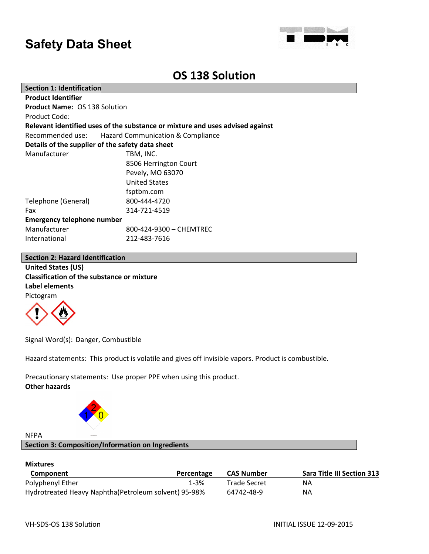

### **OS 138 Solution**

| <b>Section 1: Identification</b>                                              |                         |  |  |  |
|-------------------------------------------------------------------------------|-------------------------|--|--|--|
| <b>Product Identifier</b>                                                     |                         |  |  |  |
| <b>Product Name: OS 138 Solution</b>                                          |                         |  |  |  |
| Product Code:                                                                 |                         |  |  |  |
| Relevant identified uses of the substance or mixture and uses advised against |                         |  |  |  |
| Recommended use: Hazard Communication & Compliance                            |                         |  |  |  |
| Details of the supplier of the safety data sheet                              |                         |  |  |  |
| Manufacturer                                                                  | TBM, INC.               |  |  |  |
| 8506 Herrington Court                                                         |                         |  |  |  |
|                                                                               | Pevely, MO 63070        |  |  |  |
|                                                                               | <b>United States</b>    |  |  |  |
|                                                                               | fsptbm.com              |  |  |  |
| Telephone (General)                                                           | 800-444-4720            |  |  |  |
| Fax                                                                           | 314-721-4519            |  |  |  |
| <b>Emergency telephone number</b>                                             |                         |  |  |  |
| Manufacturer                                                                  | 800-424-9300 - CHEMTREC |  |  |  |
| International                                                                 | 212-483-7616            |  |  |  |
|                                                                               |                         |  |  |  |

### **Section 2: Hazard Identification**

**United States (US) Classification of the substance or mixture Label elements** Pictogram



Signal Word(s): Danger, Combustible

Hazard statements: This product is volatile and gives off invisible vapors. Product is combustible.

Precautionary statements: Use proper PPE when using this product. **Other hazards**



### NFPA

### **Section 3: Composition/Information on Ingredients**

### **Mixtures**

| Component                                            | Percentage | <b>CAS Number</b> | <b>Sara Title III Section 313</b> |
|------------------------------------------------------|------------|-------------------|-----------------------------------|
| Polyphenyl Ether                                     | $1 - 3%$   | Trade Secret      | NA.                               |
| Hydrotreated Heavy Naphtha(Petroleum solvent) 95-98% |            | 64742-48-9        | NА                                |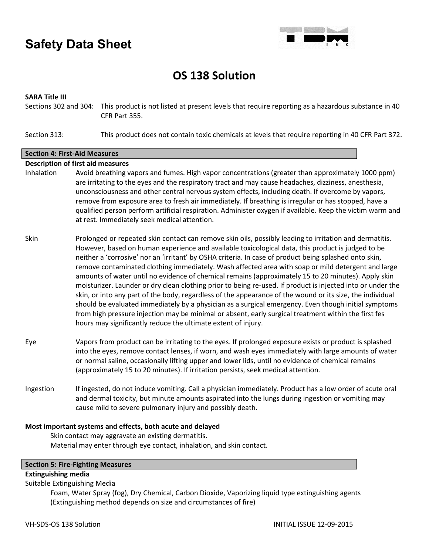

## **OS 138 Solution**

### **SARA Title III**

Sections 302 and 304: This product is not listed at present levels that require reporting as a hazardous substance in 40 CFR Part 355.

Section 313: This product does not contain toxic chemicals at levels that require reporting in 40 CFR Part 372.

### **Section 4: First-Aid Measures**

### **Description of first aid measures**

- Inhalation Avoid breathing vapors and fumes. High vapor concentrations (greater than approximately 1000 ppm) are irritating to the eyes and the respiratory tract and may cause headaches, dizziness, anesthesia, unconsciousness and other central nervous system effects, including death. If overcome by vapors, remove from exposure area to fresh air immediately. If breathing is irregular or has stopped, have a qualified person perform artificial respiration. Administer oxygen if available. Keep the victim warm and at rest. Immediately seek medical attention.
- Skin Prolonged or repeated skin contact can remove skin oils, possibly leading to irritation and dermatitis. However, based on human experience and available toxicological data, this product is judged to be neither a 'corrosive' nor an 'irritant' by OSHA criteria. In case of product being splashed onto skin, remove contaminated clothing immediately. Wash affected area with soap or mild detergent and large amounts of water until no evidence of chemical remains (approximately 15 to 20 minutes). Apply skin moisturizer. Launder or dry clean clothing prior to being re-used. If product is injected into or under the skin, or into any part of the body, regardless of the appearance of the wound or its size, the individual should be evaluated immediately by a physician as a surgical emergency. Even though initial symptoms from high pressure injection may be minimal or absent, early surgical treatment within the first fes hours may significantly reduce the ultimate extent of injury.
- Eye Vapors from product can be irritating to the eyes. If prolonged exposure exists or product is splashed into the eyes, remove contact lenses, if worn, and wash eyes immediately with large amounts of water or normal saline, occasionally lifting upper and lower lids, until no evidence of chemical remains (approximately 15 to 20 minutes). If irritation persists, seek medical attention.
- Ingestion If ingested, do not induce vomiting. Call a physician immediately. Product has a low order of acute oral and dermal toxicity, but minute amounts aspirated into the lungs during ingestion or vomiting may cause mild to severe pulmonary injury and possibly death.

### **Most important systems and effects, both acute and delayed**

Skin contact may aggravate an existing dermatitis. Material may enter through eye contact, inhalation, and skin contact.

### **Section 5: Fire-Fighting Measures**

### **Extinguishing media**

Suitable Extinguishing Media

Foam, Water Spray (fog), Dry Chemical, Carbon Dioxide, Vaporizing liquid type extinguishing agents (Extinguishing method depends on size and circumstances of fire)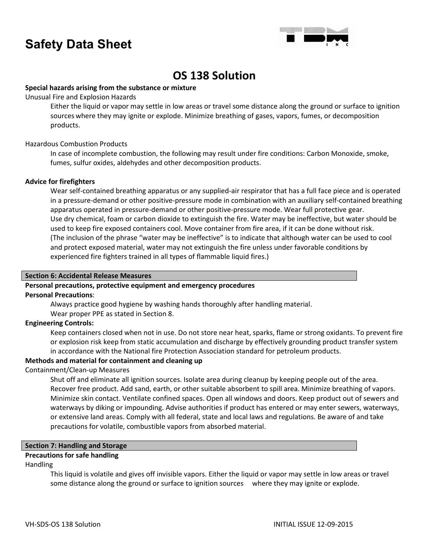

### **OS 138 Solution**

### **Special hazards arising from the substance or mixture**

Unusual Fire and Explosion Hazards

Either the liquid or vapor may settle in low areas or travel some distance along the ground or surface to ignition sources where they may ignite or explode. Minimize breathing of gases, vapors, fumes, or decomposition products.

### Hazardous Combustion Products

In case of incomplete combustion, the following may result under fire conditions: Carbon Monoxide, smoke, fumes, sulfur oxides, aldehydes and other decomposition products.

### **Advice for firefighters**

Wear self-contained breathing apparatus or any supplied-air respirator that has a full face piece and is operated in a pressure-demand or other positive-pressure mode in combination with an auxiliary self-contained breathing apparatus operated in pressure-demand or other positive-pressure mode. Wear full protective gear. Use dry chemical, foam or carbon dioxide to extinguish the fire. Water may be ineffective, but water should be used to keep fire exposed containers cool. Move container from fire area, if it can be done without risk. (The inclusion of the phrase "water may be ineffective" is to indicate that although water can be used to cool and protect exposed material, water may not extinguish the fire unless under favorable conditions by experienced fire fighters trained in all types of flammable liquid fires.)

### **Section 6: Accidental Release Measures**

### **Personal precautions, protective equipment and emergency procedures**

### **Personal Precautions**:

Always practice good hygiene by washing hands thoroughly after handling material.

Wear proper PPE as stated in Section 8.

### **Engineering Controls:**

Keep containers closed when not in use. Do not store near heat, sparks, flame or strong oxidants. To prevent fire or explosion risk keep from static accumulation and discharge by effectively grounding product transfer system in accordance with the National fire Protection Association standard for petroleum products.

### **Methods and material for containment and cleaning up**

### Containment/Clean-up Measures

Shut off and eliminate all ignition sources. Isolate area during cleanup by keeping people out of the area. Recover free product. Add sand, earth, or other suitable absorbent to spill area. Minimize breathing of vapors. Minimize skin contact. Ventilate confined spaces. Open all windows and doors. Keep product out of sewers and waterways by diking or impounding. Advise authorities if product has entered or may enter sewers, waterways, or extensive land areas. Comply with all federal, state and local laws and regulations. Be aware of and take precautions for volatile, combustible vapors from absorbed material.

### **Section 7: Handling and Storage**

### **Precautions for safe handling**

### Handling

This liquid is volatile and gives off invisible vapors. Either the liquid or vapor may settle in low areas or travel some distance along the ground or surface to ignition sources where they may ignite or explode.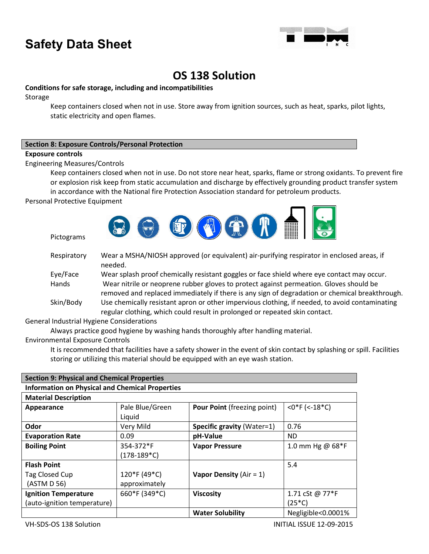

### **OS 138 Solution**

### **Conditions for safe storage, including and incompatibilities**

Storage

Keep containers closed when not in use. Store away from ignition sources, such as heat, sparks, pilot lights, static electricity and open flames.

### **Section 8: Exposure Controls/Personal Protection**

### **Exposure controls**

Engineering Measures/Controls

Keep containers closed when not in use. Do not store near heat, sparks, flame or strong oxidants. To prevent fire or explosion risk keep from static accumulation and discharge by effectively grounding product transfer system

in accordance with the National fire Protection Association standard for petroleum products.

Personal Protective Equipment

Pictograms



| Respiratory | Wear a MSHA/NIOSH approved (or equivalent) air-purifying respirator in enclosed areas, if<br>needed.                                                                                     |
|-------------|------------------------------------------------------------------------------------------------------------------------------------------------------------------------------------------|
| Eye/Face    | Wear splash proof chemically resistant goggles or face shield where eye contact may occur.                                                                                               |
| Hands       | Wear nitrile or neoprene rubber gloves to protect against permeation. Gloves should be<br>removed and replaced immediately if there is any sign of degradation or chemical breakthrough. |
| Skin/Body   | Use chemically resistant apron or other impervious clothing, if needed, to avoid contaminating<br>regular clothing, which could result in prolonged or repeated skin contact.            |

General Industrial Hygiene Considerations

Always practice good hygiene by washing hands thoroughly after handling material.

Environmental Exposure Controls

It is recommended that facilities have a safety shower in the event of skin contact by splashing or spill. Facilities storing or utilizing this material should be equipped with an eye wash station.

| <b>Section 9: Physical and Chemical Properties</b>     |                 |                                    |                    |  |  |
|--------------------------------------------------------|-----------------|------------------------------------|--------------------|--|--|
| <b>Information on Physical and Chemical Properties</b> |                 |                                    |                    |  |  |
| <b>Material Description</b>                            |                 |                                    |                    |  |  |
| Appearance                                             | Pale Blue/Green | <b>Pour Point (freezing point)</b> | $<$ 0*F (<-18*C)   |  |  |
|                                                        | Liquid          |                                    |                    |  |  |
| Odor                                                   | Very Mild       | <b>Specific gravity (Water=1)</b>  | 0.76               |  |  |
| <b>Evaporation Rate</b>                                | 0.09            | pH-Value                           | <b>ND</b>          |  |  |
| <b>Boiling Point</b>                                   | 354-372*F       | <b>Vapor Pressure</b>              | 1.0 mm Hg @ 68*F   |  |  |
|                                                        | (178-189*C)     |                                    |                    |  |  |
| <b>Flash Point</b>                                     |                 |                                    | 5.4                |  |  |
| Tag Closed Cup                                         | 120*F (49*C)    | Vapor Density ( $Air = 1$ )        |                    |  |  |
| (ASTM D 56)                                            | approximately   |                                    |                    |  |  |
| <b>Ignition Temperature</b>                            | 660*F (349*C)   | <b>Viscosity</b>                   | 1.71 cSt @ 77*F    |  |  |
| (auto-ignition temperature)                            |                 |                                    | $(25*C)$           |  |  |
|                                                        |                 | <b>Water Solubility</b>            | Negligible<0.0001% |  |  |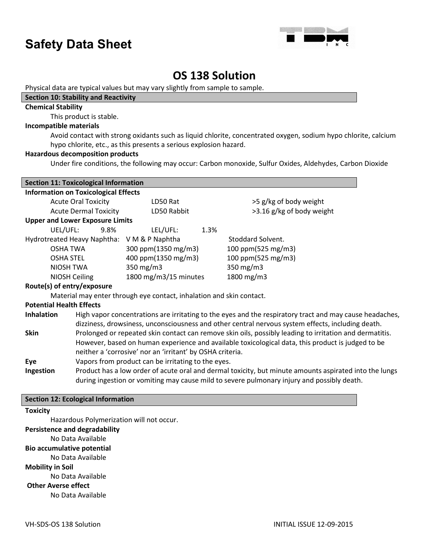

### **OS 138 Solution**

Physical data are typical values but may vary slightly from sample to sample.

### **Section 10: Stability and Reactivity**

### **Chemical Stability**

This product is stable.

### **Incompatible materials**

Avoid contact with strong oxidants such as liquid chlorite, concentrated oxygen, sodium hypo chlorite, calcium hypo chlorite, etc., as this presents a serious explosion hazard.

### **Hazardous decomposition products**

Under fire conditions, the following may occur: Carbon monoxide, Sulfur Oxides, Aldehydes, Carbon Dioxide

| <b>Section 11: Toxicological Information</b>                                                                                                                                                                                      |                       |                           |  |
|-----------------------------------------------------------------------------------------------------------------------------------------------------------------------------------------------------------------------------------|-----------------------|---------------------------|--|
| <b>Information on Toxicological Effects</b>                                                                                                                                                                                       |                       |                           |  |
| <b>Acute Oral Toxicity</b>                                                                                                                                                                                                        | LD50 Rat              | >5 g/kg of body weight    |  |
| <b>Acute Dermal Toxicity</b>                                                                                                                                                                                                      | LD50 Rabbit           | >3.16 g/kg of body weight |  |
| <b>Upper and Lower Exposure Limits</b>                                                                                                                                                                                            |                       |                           |  |
| UEL/UFL:<br>9.8%                                                                                                                                                                                                                  | LEL/UFL:              | 1.3%                      |  |
| Hydrotreated Heavy Naphtha: V M & P Naphtha                                                                                                                                                                                       |                       | Stoddard Solvent.         |  |
| OSHA TWA                                                                                                                                                                                                                          | 300 ppm(1350 mg/m3)   | 100 ppm(525 mg/m3)        |  |
| <b>OSHA STEL</b>                                                                                                                                                                                                                  | 400 ppm(1350 mg/m3)   | 100 ppm(525 mg/m3)        |  |
| NIOSH TWA                                                                                                                                                                                                                         | 350 $mg/m3$           | 350 mg/m3                 |  |
| NIOSH Ceiling                                                                                                                                                                                                                     | 1800 mg/m3/15 minutes | 1800 mg/m3                |  |
| Route(s) of entry/exposure                                                                                                                                                                                                        |                       |                           |  |
| Material may enter through eye contact, inhalation and skin contact.                                                                                                                                                              |                       |                           |  |
| <b>Potential Health Effects</b>                                                                                                                                                                                                   |                       |                           |  |
| High vapor concentrations are irritating to the eyes and the respiratory tract and may cause headaches,<br><b>Inhalation</b><br>dizziness, drowsiness, unconsciousness and other central nervous system effects, including death. |                       |                           |  |
| <b>Skin</b><br>Prolonged or repeated skin contact can remove skin oils, possibly leading to irritation and dermatitis.                                                                                                            |                       |                           |  |
| However, based on human experience and available toxicological data, this product is judged to be                                                                                                                                 |                       |                           |  |
| neither a 'corrosive' nor an 'irritant' by OSHA criteria.                                                                                                                                                                         |                       |                           |  |
| Vapors from product can be irritating to the eyes.<br>Eye                                                                                                                                                                         |                       |                           |  |
| Product has a low order of acute oral and dermal toxicity, but minute amounts aspirated into the lungs<br>Ingestion<br>during ingestion or vomiting may cause mild to severe pulmonary injury and possibly death.                 |                       |                           |  |
|                                                                                                                                                                                                                                   |                       |                           |  |

### **Section 12: Ecological Information**

### **Toxicity**

Hazardous Polymerization will not occur.

### **Persistence and degradability**

No Data Available

### **Bio accumulative potential**

No Data Available

**Mobility in Soil**

No Data Available

### **Other Averse effect**

No Data Available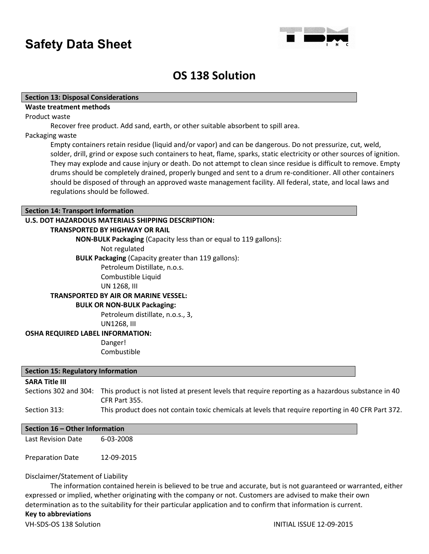

### **OS 138 Solution**

### **Section 13: Disposal Considerations**

### **Waste treatment methods**

Product waste

Recover free product. Add sand, earth, or other suitable absorbent to spill area.

#### Packaging waste

Empty containers retain residue (liquid and/or vapor) and can be dangerous. Do not pressurize, cut, weld, solder, drill, grind or expose such containers to heat, flame, sparks, static electricity or other sources of ignition. They may explode and cause injury or death. Do not attempt to clean since residue is difficult to remove. Empty drums should be completely drained, properly bunged and sent to a drum re-conditioner. All other containers should be disposed of through an approved waste management facility. All federal, state, and local laws and regulations should be followed.

### **Section 14: Transport Information**

### **U.S. DOT HAZARDOUS MATERIALS SHIPPING DESCRIPTION:**

### **TRANSPORTED BY HIGHWAY OR RAIL**

**NON-BULK Packaging** (Capacity less than or equal to 119 gallons):

Not regulated

**BULK Packaging** (Capacity greater than 119 gallons):

Petroleum Distillate, n.o.s. Combustible Liquid UN 1268, III

### **TRANSPORTED BY AIR OR MARINE VESSEL:**

### **BULK OR NON-BULK Packaging:**

Petroleum distillate, n.o.s., 3, UN1268, III

#### **OSHA REQUIRED LABEL INFORMATION:**

Danger! Combustible

#### **Section 15: Regulatory Information**

### **SARA Title III**

Sections 302 and 304: This product is not listed at present levels that require reporting as a hazardous substance in 40 CFR Part 355.

### Section 313: This product does not contain toxic chemicals at levels that require reporting in 40 CFR Part 372.

### **Section 16 – Other Information**

Last Revision Date 6-03-2008

Preparation Date 12-09-2015

### Disclaimer/Statement of Liability

The information contained herein is believed to be true and accurate, but is not guaranteed or warranted, either expressed or implied, whether originating with the company or not. Customers are advised to make their own determination as to the suitability for their particular application and to confirm that information is current. **Key to abbreviations**

### VH-SDS-OS 138 Solution **INITIAL ISSUE 12-09-2015**